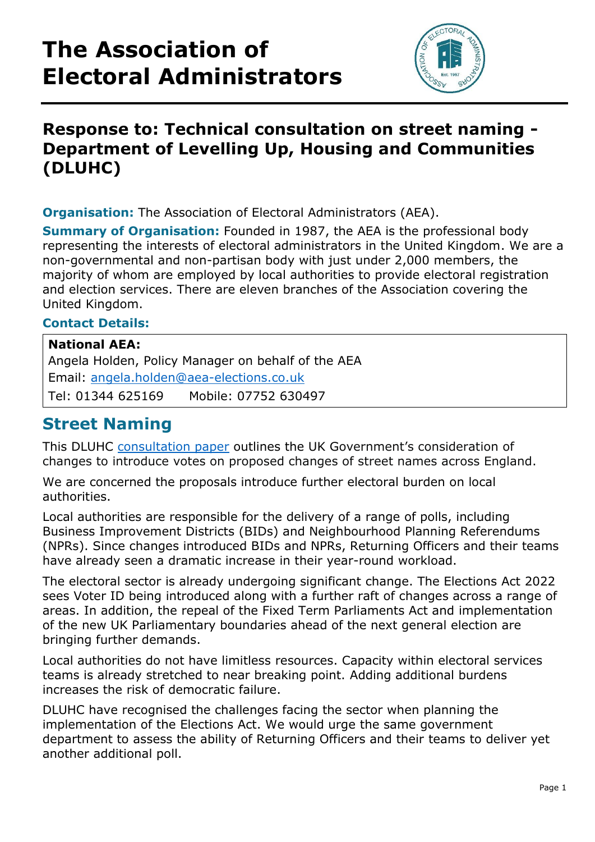# **The Association of Electoral Administrators**



## **Response to: Technical consultation on street naming - Department of Levelling Up, Housing and Communities (DLUHC)**

**Organisation:** The Association of Electoral Administrators (AEA).

**Summary of Organisation:** Founded in 1987, the AEA is the professional body representing the interests of electoral administrators in the United Kingdom. We are a non-governmental and non-partisan body with just under 2,000 members, the majority of whom are employed by local authorities to provide electoral registration and election services. There are eleven branches of the Association covering the United Kingdom.

#### **Contact Details:**

### **National AEA:** Angela Holden, Policy Manager on behalf of the AEA Email: [angela.holden@aea-elections.co.uk](mailto:angela.holden@aea-elections.co.uk) Tel: 01344 625169 Mobile: 07752 630497

### **Street Naming**

This DLUHC [consultation paper](https://www.gov.uk/government/consultations/technical-consultation-on-street-naming/technical-consultation-on-street-naming) outlines the UK Government's consideration of changes to introduce votes on proposed changes of street names across England.

We are concerned the proposals introduce further electoral burden on local authorities.

Local authorities are responsible for the delivery of a range of polls, including Business Improvement Districts (BIDs) and Neighbourhood Planning Referendums (NPRs). Since changes introduced BIDs and NPRs, Returning Officers and their teams have already seen a dramatic increase in their year-round workload.

The electoral sector is already undergoing significant change. The Elections Act 2022 sees Voter ID being introduced along with a further raft of changes across a range of areas. In addition, the repeal of the Fixed Term Parliaments Act and implementation of the new UK Parliamentary boundaries ahead of the next general election are bringing further demands.

Local authorities do not have limitless resources. Capacity within electoral services teams is already stretched to near breaking point. Adding additional burdens increases the risk of democratic failure.

DLUHC have recognised the challenges facing the sector when planning the implementation of the Elections Act. We would urge the same government department to assess the ability of Returning Officers and their teams to deliver yet another additional poll.